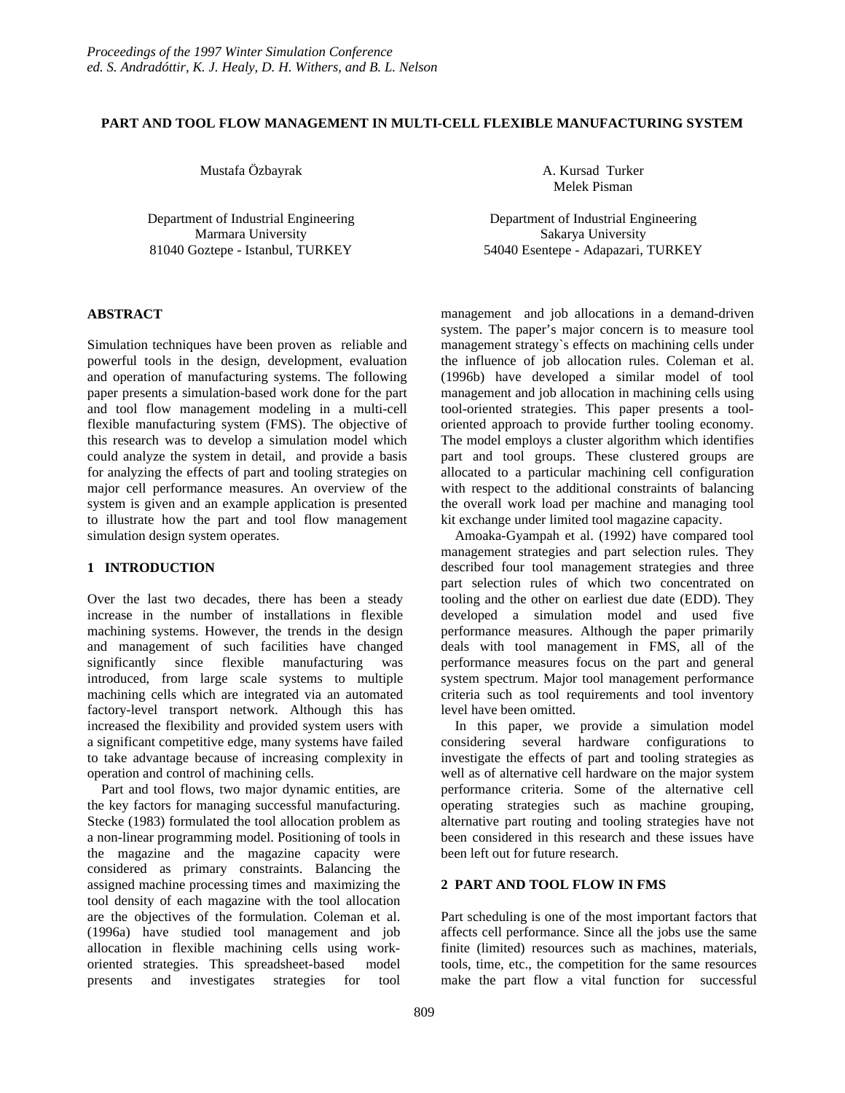## **PART AND TOOL FLOW MANAGEMENT IN MULTI-CELL FLEXIBLE MANUFACTURING SYSTEM**

Department of Industrial Engineering Marmara University 81040 Goztepe - Istanbul, TURKEY

## **ABSTRACT**

Simulation techniques have been proven as reliable and powerful tools in the design, development, evaluation and operation of manufacturing systems. The following paper presents a simulation-based work done for the part and tool flow management modeling in a multi-cell flexible manufacturing system (FMS). The objective of this research was to develop a simulation model which could analyze the system in detail, and provide a basis for analyzing the effects of part and tooling strategies on major cell performance measures. An overview of the system is given and an example application is presented to illustrate how the part and tool flow management simulation design system operates.

## **1 INTRODUCTION**

Over the last two decades, there has been a steady increase in the number of installations in flexible machining systems. However, the trends in the design and management of such facilities have changed significantly since flexible manufacturing was introduced, from large scale systems to multiple machining cells which are integrated via an automated factory-level transport network. Although this has increased the flexibility and provided system users with a significant competitive edge, many systems have failed to take advantage because of increasing complexity in operation and control of machining cells.

 Part and tool flows, two major dynamic entities, are the key factors for managing successful manufacturing. Stecke (1983) formulated the tool allocation problem as a non-linear programming model. Positioning of tools in the magazine and the magazine capacity were considered as primary constraints. Balancing the assigned machine processing times and maximizing the tool density of each magazine with the tool allocation are the objectives of the formulation. Coleman et al. (1996a) have studied tool management and job allocation in flexible machining cells using workoriented strategies. This spreadsheet-based model presents and investigates strategies for tool

Mustafa Özbayrak A. Kursad Turker Melek Pisman

> Department of Industrial Engineering Sakarya University 54040 Esentepe - Adapazari, TURKEY

management and job allocations in a demand-driven system. The paper's major concern is to measure tool management strategy`s effects on machining cells under the influence of job allocation rules. Coleman et al. (1996b) have developed a similar model of tool management and job allocation in machining cells using tool-oriented strategies. This paper presents a tooloriented approach to provide further tooling economy. The model employs a cluster algorithm which identifies part and tool groups. These clustered groups are allocated to a particular machining cell configuration with respect to the additional constraints of balancing the overall work load per machine and managing tool kit exchange under limited tool magazine capacity.

 Amoaka-Gyampah et al. (1992) have compared tool management strategies and part selection rules. They described four tool management strategies and three part selection rules of which two concentrated on tooling and the other on earliest due date (EDD). They developed a simulation model and used five performance measures. Although the paper primarily deals with tool management in FMS, all of the performance measures focus on the part and general system spectrum. Major tool management performance criteria such as tool requirements and tool inventory level have been omitted.

 In this paper, we provide a simulation model considering several hardware configurations to investigate the effects of part and tooling strategies as well as of alternative cell hardware on the major system performance criteria. Some of the alternative cell operating strategies such as machine grouping, alternative part routing and tooling strategies have not been considered in this research and these issues have been left out for future research.

## **2 PART AND TOOL FLOW IN FMS**

Part scheduling is one of the most important factors that affects cell performance. Since all the jobs use the same finite (limited) resources such as machines, materials, tools, time, etc., the competition for the same resources make the part flow a vital function for successful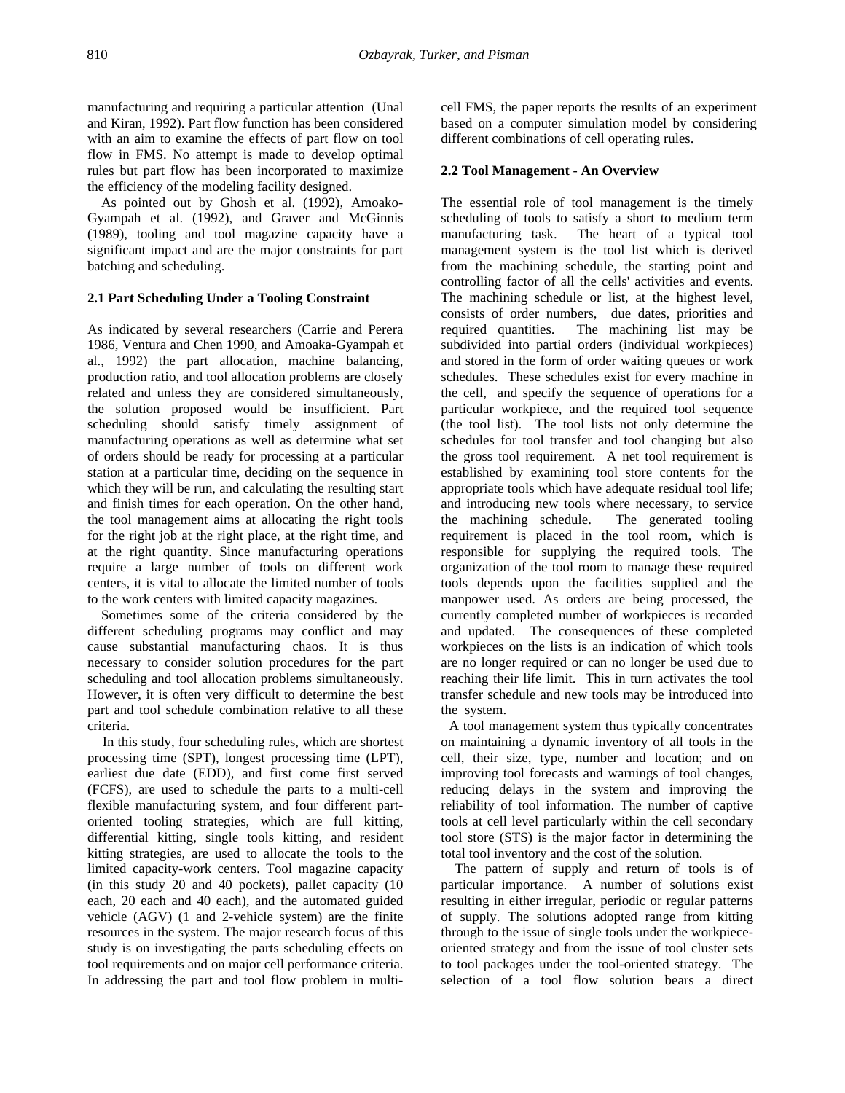manufacturing and requiring a particular attention (Unal and Kiran, 1992). Part flow function has been considered with an aim to examine the effects of part flow on tool flow in FMS. No attempt is made to develop optimal rules but part flow has been incorporated to maximize the efficiency of the modeling facility designed.

 As pointed out by Ghosh et al. (1992), Amoako-Gyampah et al. (1992), and Graver and McGinnis (1989), tooling and tool magazine capacity have a significant impact and are the major constraints for part batching and scheduling.

# **2.1 Part Scheduling Under a Tooling Constraint**

As indicated by several researchers (Carrie and Perera 1986, Ventura and Chen 1990, and Amoaka-Gyampah et al., 1992) the part allocation, machine balancing, production ratio, and tool allocation problems are closely related and unless they are considered simultaneously, the solution proposed would be insufficient. Part scheduling should satisfy timely assignment of manufacturing operations as well as determine what set of orders should be ready for processing at a particular station at a particular time, deciding on the sequence in which they will be run, and calculating the resulting start and finish times for each operation. On the other hand, the tool management aims at allocating the right tools for the right job at the right place, at the right time, and at the right quantity. Since manufacturing operations require a large number of tools on different work centers, it is vital to allocate the limited number of tools to the work centers with limited capacity magazines.

 Sometimes some of the criteria considered by the different scheduling programs may conflict and may cause substantial manufacturing chaos. It is thus necessary to consider solution procedures for the part scheduling and tool allocation problems simultaneously. However, it is often very difficult to determine the best part and tool schedule combination relative to all these criteria.

 In this study, four scheduling rules, which are shortest processing time (SPT), longest processing time (LPT), earliest due date (EDD), and first come first served (FCFS), are used to schedule the parts to a multi-cell flexible manufacturing system, and four different partoriented tooling strategies, which are full kitting, differential kitting, single tools kitting, and resident kitting strategies, are used to allocate the tools to the limited capacity-work centers. Tool magazine capacity (in this study 20 and 40 pockets), pallet capacity (10 each, 20 each and 40 each), and the automated guided vehicle (AGV) (1 and 2-vehicle system) are the finite resources in the system. The major research focus of this study is on investigating the parts scheduling effects on tool requirements and on major cell performance criteria. In addressing the part and tool flow problem in multicell FMS, the paper reports the results of an experiment based on a computer simulation model by considering different combinations of cell operating rules.

# **2.2 Tool Management - An Overview**

The essential role of tool management is the timely scheduling of tools to satisfy a short to medium term manufacturing task. The heart of a typical tool management system is the tool list which is derived from the machining schedule, the starting point and controlling factor of all the cells' activities and events. The machining schedule or list, at the highest level, consists of order numbers, due dates, priorities and required quantities. The machining list may be subdivided into partial orders (individual workpieces) and stored in the form of order waiting queues or work schedules. These schedules exist for every machine in the cell, and specify the sequence of operations for a particular workpiece, and the required tool sequence (the tool list). The tool lists not only determine the schedules for tool transfer and tool changing but also the gross tool requirement. A net tool requirement is established by examining tool store contents for the appropriate tools which have adequate residual tool life; and introducing new tools where necessary, to service the machining schedule. The generated tooling requirement is placed in the tool room, which is responsible for supplying the required tools. The organization of the tool room to manage these required tools depends upon the facilities supplied and the manpower used. As orders are being processed, the currently completed number of workpieces is recorded and updated. The consequences of these completed workpieces on the lists is an indication of which tools are no longer required or can no longer be used due to reaching their life limit. This in turn activates the tool transfer schedule and new tools may be introduced into the system.

 A tool management system thus typically concentrates on maintaining a dynamic inventory of all tools in the cell, their size, type, number and location; and on improving tool forecasts and warnings of tool changes, reducing delays in the system and improving the reliability of tool information. The number of captive tools at cell level particularly within the cell secondary tool store (STS) is the major factor in determining the total tool inventory and the cost of the solution.

 The pattern of supply and return of tools is of particular importance. A number of solutions exist resulting in either irregular, periodic or regular patterns of supply. The solutions adopted range from kitting through to the issue of single tools under the workpieceoriented strategy and from the issue of tool cluster sets to tool packages under the tool-oriented strategy. The selection of a tool flow solution bears a direct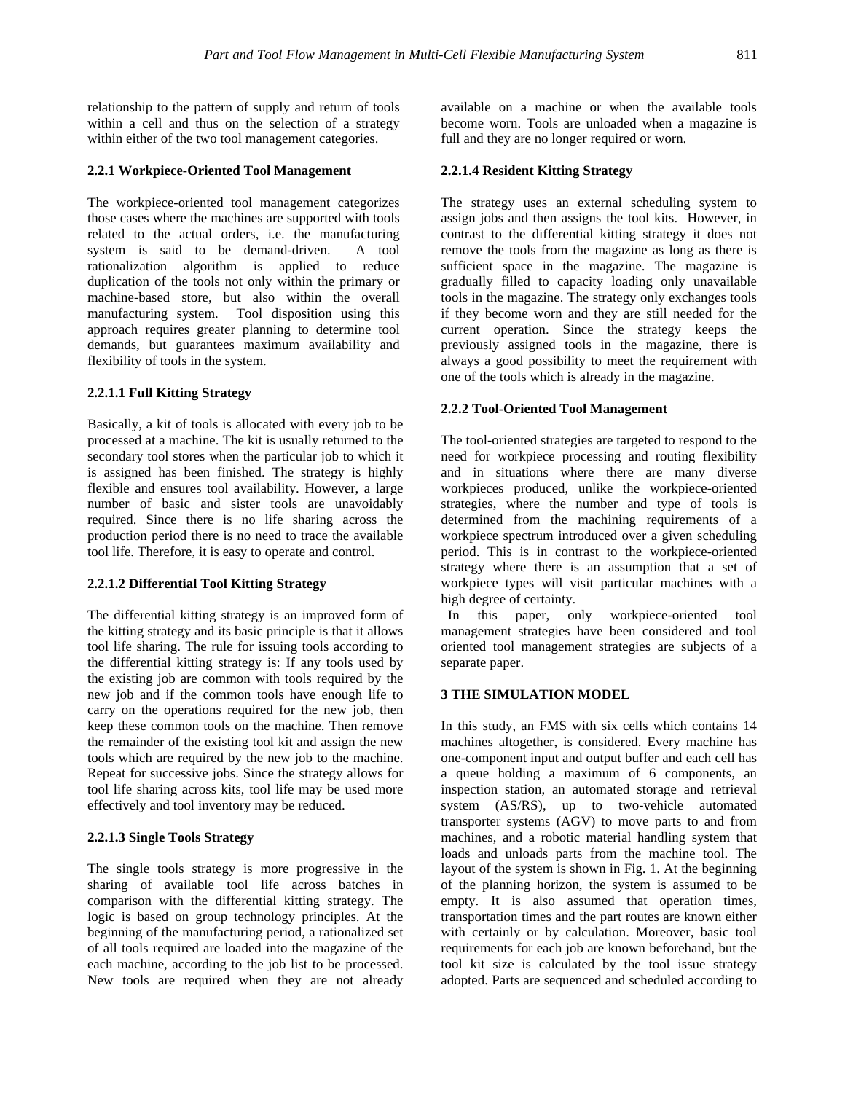relationship to the pattern of supply and return of tools within a cell and thus on the selection of a strategy within either of the two tool management categories.

### **2.2.1 Workpiece-Oriented Tool Management**

The workpiece-oriented tool management categorizes those cases where the machines are supported with tools related to the actual orders, i.e. the manufacturing system is said to be demand-driven. A tool rationalization algorithm is applied to reduce duplication of the tools not only within the primary or machine-based store, but also within the overall manufacturing system. Tool disposition using this approach requires greater planning to determine tool demands, but guarantees maximum availability and flexibility of tools in the system.

### **2.2.1.1 Full Kitting Strategy**

Basically, a kit of tools is allocated with every job to be processed at a machine. The kit is usually returned to the secondary tool stores when the particular job to which it is assigned has been finished. The strategy is highly flexible and ensures tool availability. However, a large number of basic and sister tools are unavoidably required. Since there is no life sharing across the production period there is no need to trace the available tool life. Therefore, it is easy to operate and control.

## **2.2.1.2 Differential Tool Kitting Strategy**

The differential kitting strategy is an improved form of the kitting strategy and its basic principle is that it allows tool life sharing. The rule for issuing tools according to the differential kitting strategy is: If any tools used by the existing job are common with tools required by the new job and if the common tools have enough life to carry on the operations required for the new job, then keep these common tools on the machine. Then remove the remainder of the existing tool kit and assign the new tools which are required by the new job to the machine. Repeat for successive jobs. Since the strategy allows for tool life sharing across kits, tool life may be used more effectively and tool inventory may be reduced.

#### **2.2.1.3 Single Tools Strategy**

The single tools strategy is more progressive in the sharing of available tool life across batches in comparison with the differential kitting strategy. The logic is based on group technology principles. At the beginning of the manufacturing period, a rationalized set of all tools required are loaded into the magazine of the each machine, according to the job list to be processed. New tools are required when they are not already

available on a machine or when the available tools become worn. Tools are unloaded when a magazine is full and they are no longer required or worn.

### **2.2.1.4 Resident Kitting Strategy**

The strategy uses an external scheduling system to assign jobs and then assigns the tool kits. However, in contrast to the differential kitting strategy it does not remove the tools from the magazine as long as there is sufficient space in the magazine. The magazine is gradually filled to capacity loading only unavailable tools in the magazine. The strategy only exchanges tools if they become worn and they are still needed for the current operation. Since the strategy keeps the previously assigned tools in the magazine, there is always a good possibility to meet the requirement with one of the tools which is already in the magazine.

# **2.2.2 Tool-Oriented Tool Management**

The tool-oriented strategies are targeted to respond to the need for workpiece processing and routing flexibility and in situations where there are many diverse workpieces produced, unlike the workpiece-oriented strategies, where the number and type of tools is determined from the machining requirements of a workpiece spectrum introduced over a given scheduling period. This is in contrast to the workpiece-oriented strategy where there is an assumption that a set of workpiece types will visit particular machines with a high degree of certainty.

 In this paper, only workpiece-oriented tool management strategies have been considered and tool oriented tool management strategies are subjects of a separate paper.

#### **3 THE SIMULATION MODEL**

In this study, an FMS with six cells which contains 14 machines altogether, is considered. Every machine has one-component input and output buffer and each cell has a queue holding a maximum of 6 components, an inspection station, an automated storage and retrieval system (AS/RS), up to two-vehicle automated transporter systems (AGV) to move parts to and from machines, and a robotic material handling system that loads and unloads parts from the machine tool. The layout of the system is shown in Fig. 1. At the beginning of the planning horizon, the system is assumed to be empty. It is also assumed that operation times, transportation times and the part routes are known either with certainly or by calculation. Moreover, basic tool requirements for each job are known beforehand, but the tool kit size is calculated by the tool issue strategy adopted. Parts are sequenced and scheduled according to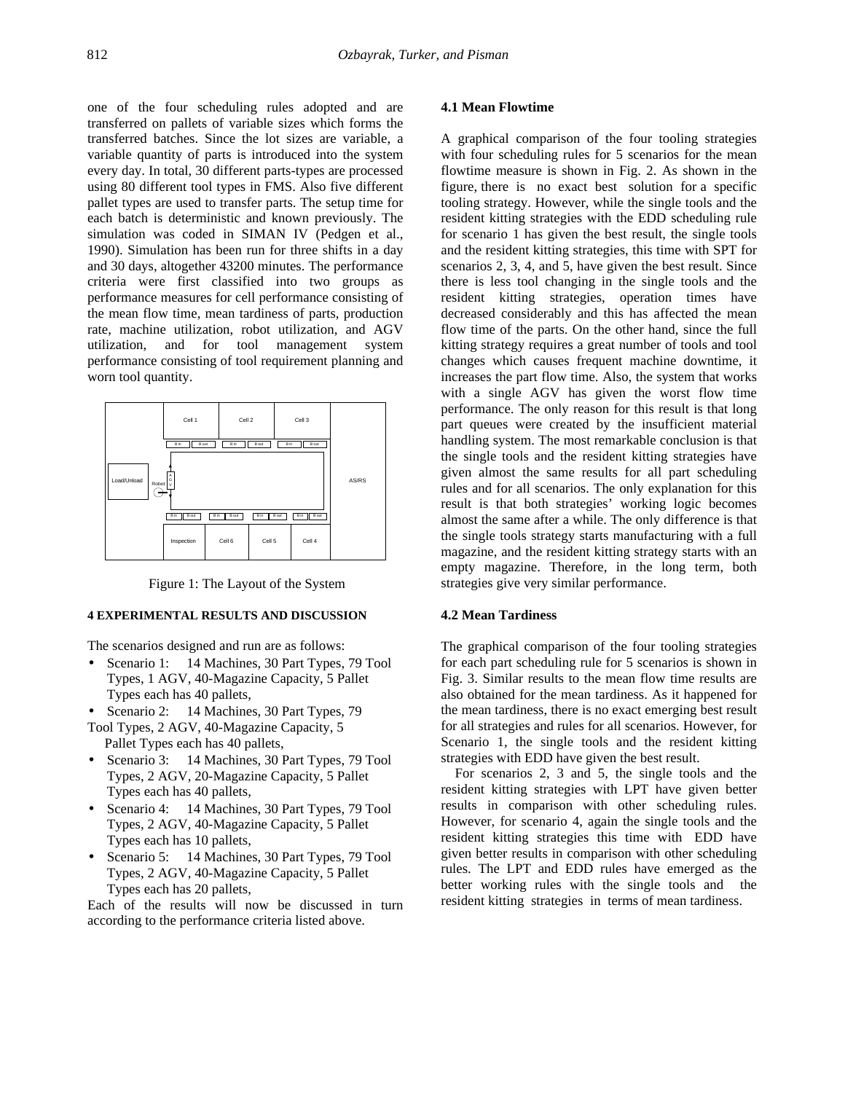one of the four scheduling rules adopted and are transferred on pallets of variable sizes which forms the transferred batches. Since the lot sizes are variable, a variable quantity of parts is introduced into the system every day. In total, 30 different parts-types are processed using 80 different tool types in FMS. Also five different pallet types are used to transfer parts. The setup time for each batch is deterministic and known previously. The simulation was coded in SIMAN IV (Pedgen et al., 1990). Simulation has been run for three shifts in a day and 30 days, altogether 43200 minutes. The performance criteria were first classified into two groups as performance measures for cell performance consisting of the mean flow time, mean tardiness of parts, production rate, machine utilization, robot utilization, and AGV utilization, and for tool management system performance consisting of tool requirement planning and worn tool quantity.



Figure 1: The Layout of the System

### **4 EXPERIMENTAL RESULTS AND DISCUSSION**

The scenarios designed and run are as follows:

- Scenario 1: 14 Machines, 30 Part Types, 79 Tool Types, 1 AGV, 40-Magazine Capacity, 5 Pallet Types each has 40 pallets,
- Scenario 2: 14 Machines, 30 Part Types, 79
- Tool Types, 2 AGV, 40-Magazine Capacity, 5 Pallet Types each has 40 pallets,
- Scenario 3: 14 Machines, 30 Part Types, 79 Tool Types, 2 AGV, 20-Magazine Capacity, 5 Pallet Types each has 40 pallets,
- Scenario 4: 14 Machines, 30 Part Types, 79 Tool Types, 2 AGV, 40-Magazine Capacity, 5 Pallet Types each has 10 pallets,
- Scenario 5: 14 Machines, 30 Part Types, 79 Tool Types, 2 AGV, 40-Magazine Capacity, 5 Pallet Types each has 20 pallets,

Each of the results will now be discussed in turn according to the performance criteria listed above.

# **4.1 Mean Flowtime**

A graphical comparison of the four tooling strategies with four scheduling rules for 5 scenarios for the mean flowtime measure is shown in Fig. 2. As shown in the figure, there is no exact best solution for a specific tooling strategy. However, while the single tools and the resident kitting strategies with the EDD scheduling rule for scenario 1 has given the best result, the single tools and the resident kitting strategies, this time with SPT for scenarios 2, 3, 4, and 5, have given the best result. Since there is less tool changing in the single tools and the resident kitting strategies, operation times have decreased considerably and this has affected the mean flow time of the parts. On the other hand, since the full kitting strategy requires a great number of tools and tool changes which causes frequent machine downtime, it increases the part flow time. Also, the system that works with a single AGV has given the worst flow time performance. The only reason for this result is that long part queues were created by the insufficient material handling system. The most remarkable conclusion is that the single tools and the resident kitting strategies have given almost the same results for all part scheduling rules and for all scenarios. The only explanation for this result is that both strategies' working logic becomes almost the same after a while. The only difference is that the single tools strategy starts manufacturing with a full magazine, and the resident kitting strategy starts with an empty magazine. Therefore, in the long term, both strategies give very similar performance.

### **4.2 Mean Tardiness**

The graphical comparison of the four tooling strategies for each part scheduling rule for 5 scenarios is shown in Fig. 3. Similar results to the mean flow time results are also obtained for the mean tardiness. As it happened for the mean tardiness, there is no exact emerging best result for all strategies and rules for all scenarios. However, for Scenario 1, the single tools and the resident kitting strategies with EDD have given the best result.

 For scenarios 2, 3 and 5, the single tools and the resident kitting strategies with LPT have given better results in comparison with other scheduling rules. However, for scenario 4, again the single tools and the resident kitting strategies this time with EDD have given better results in comparison with other scheduling rules. The LPT and EDD rules have emerged as the better working rules with the single tools and the resident kitting strategies in terms of mean tardiness.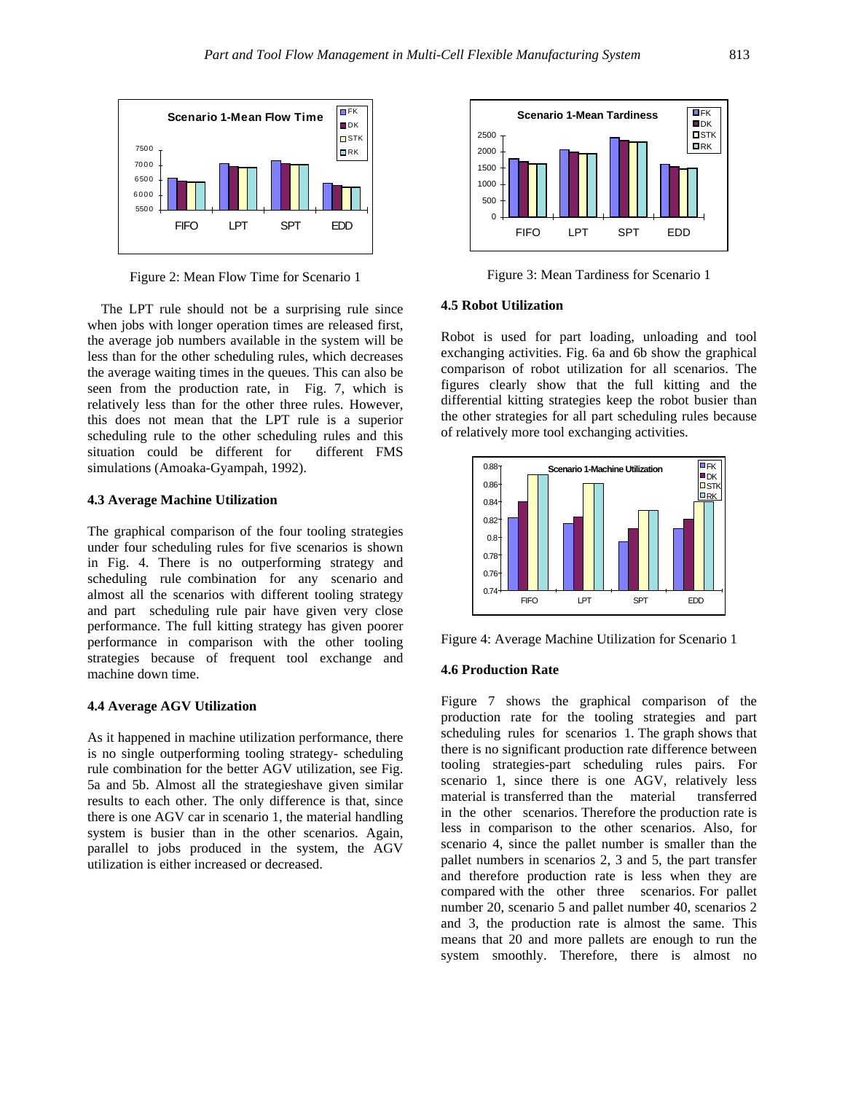

Figure 2: Mean Flow Time for Scenario 1

 The LPT rule should not be a surprising rule since when jobs with longer operation times are released first, the average job numbers available in the system will be less than for the other scheduling rules, which decreases the average waiting times in the queues. This can also be seen from the production rate, in Fig. 7, which is relatively less than for the other three rules. However, this does not mean that the LPT rule is a superior scheduling rule to the other scheduling rules and this situation could be different for different FMS simulations (Amoaka-Gyampah, 1992).

# **4.3 Average Machine Utilization**

The graphical comparison of the four tooling strategies under four scheduling rules for five scenarios is shown in Fig. 4. There is no outperforming strategy and scheduling rule combination for any scenario and almost all the scenarios with different tooling strategy and part scheduling rule pair have given very close performance. The full kitting strategy has given poorer performance in comparison with the other tooling strategies because of frequent tool exchange and machine down time.

#### **4.4 Average AGV Utilization**

As it happened in machine utilization performance, there is no single outperforming tooling strategy- scheduling rule combination for the better AGV utilization, see Fig. 5a and 5b. Almost all the strategieshave given similar results to each other. The only difference is that, since there is one AGV car in scenario 1, the material handling system is busier than in the other scenarios. Again, parallel to jobs produced in the system, the AGV utilization is either increased or decreased.



Figure 3: Mean Tardiness for Scenario 1

#### **4.5 Robot Utilization**

Robot is used for part loading, unloading and tool exchanging activities. Fig. 6a and 6b show the graphical comparison of robot utilization for all scenarios. The figures clearly show that the full kitting and the differential kitting strategies keep the robot busier than the other strategies for all part scheduling rules because of relatively more tool exchanging activities.



Figure 4: Average Machine Utilization for Scenario 1

### **4.6 Production Rate**

Figure 7 shows the graphical comparison of the production rate for the tooling strategies and part scheduling rules for scenarios 1. The graph shows that there is no significant production rate difference between tooling strategies-part scheduling rules pairs. For scenario 1, since there is one AGV, relatively less material is transferred than the material transferred in the other scenarios. Therefore the production rate is less in comparison to the other scenarios. Also, for scenario 4, since the pallet number is smaller than the pallet numbers in scenarios 2, 3 and 5, the part transfer and therefore production rate is less when they are compared with the other three scenarios. For pallet number 20, scenario 5 and pallet number 40, scenarios 2 and 3, the production rate is almost the same. This means that 20 and more pallets are enough to run the system smoothly. Therefore, there is almost no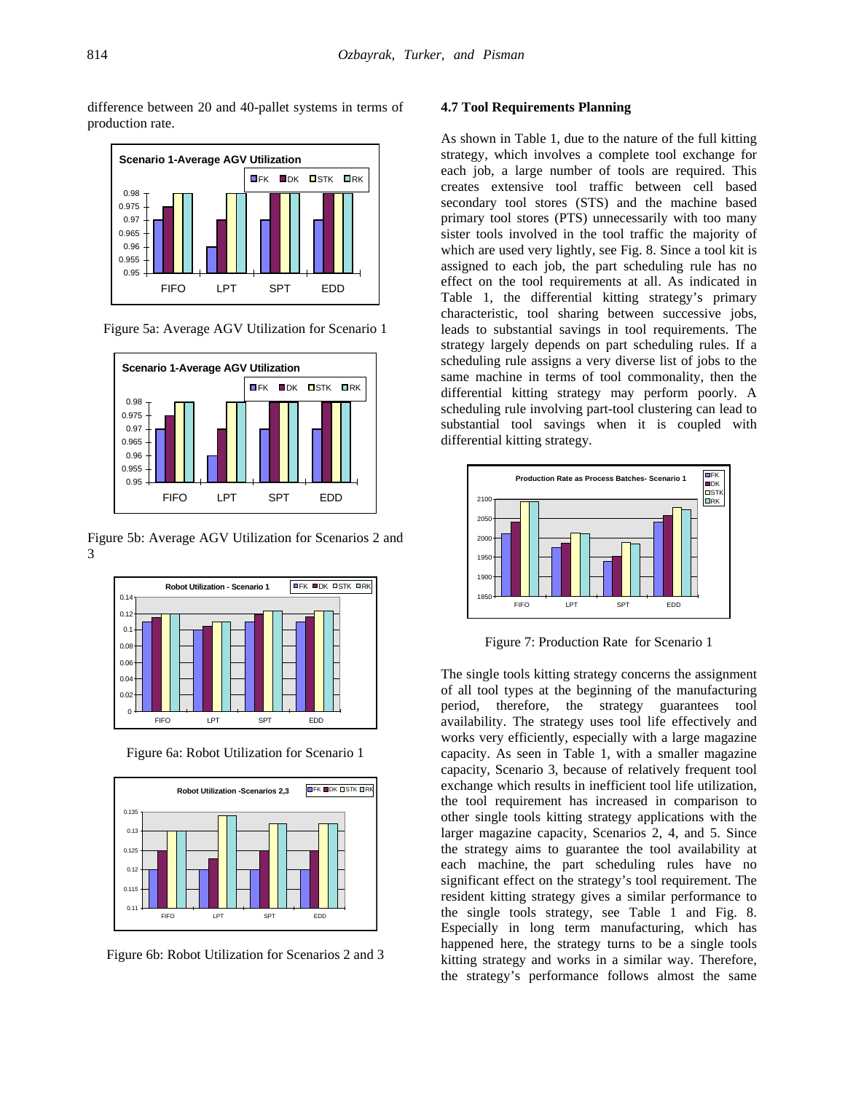difference between 20 and 40-pallet systems in terms of production rate.



Figure 5a: Average AGV Utilization for Scenario 1



Figure 5b: Average AGV Utilization for Scenarios 2 and 3



Figure 6a: Robot Utilization for Scenario 1



Figure 6b: Robot Utilization for Scenarios 2 and 3

### **4.7 Tool Requirements Planning**

As shown in Table 1, due to the nature of the full kitting strategy, which involves a complete tool exchange for each job, a large number of tools are required. This creates extensive tool traffic between cell based secondary tool stores (STS) and the machine based primary tool stores (PTS) unnecessarily with too many sister tools involved in the tool traffic the majority of which are used very lightly, see Fig. 8. Since a tool kit is assigned to each job, the part scheduling rule has no effect on the tool requirements at all. As indicated in Table 1, the differential kitting strategy's primary characteristic, tool sharing between successive jobs, leads to substantial savings in tool requirements. The strategy largely depends on part scheduling rules. If a scheduling rule assigns a very diverse list of jobs to the same machine in terms of tool commonality, then the differential kitting strategy may perform poorly. A scheduling rule involving part-tool clustering can lead to substantial tool savings when it is coupled with differential kitting strategy.



Figure 7: Production Rate for Scenario 1

The single tools kitting strategy concerns the assignment of all tool types at the beginning of the manufacturing period, therefore, the strategy guarantees tool availability. The strategy uses tool life effectively and works very efficiently, especially with a large magazine capacity. As seen in Table 1, with a smaller magazine capacity, Scenario 3, because of relatively frequent tool exchange which results in inefficient tool life utilization, the tool requirement has increased in comparison to other single tools kitting strategy applications with the larger magazine capacity, Scenarios 2, 4, and 5. Since the strategy aims to guarantee the tool availability at each machine, the part scheduling rules have no significant effect on the strategy's tool requirement. The resident kitting strategy gives a similar performance to the single tools strategy, see Table 1 and Fig. 8. Especially in long term manufacturing, which has happened here, the strategy turns to be a single tools kitting strategy and works in a similar way. Therefore, the strategy's performance follows almost the same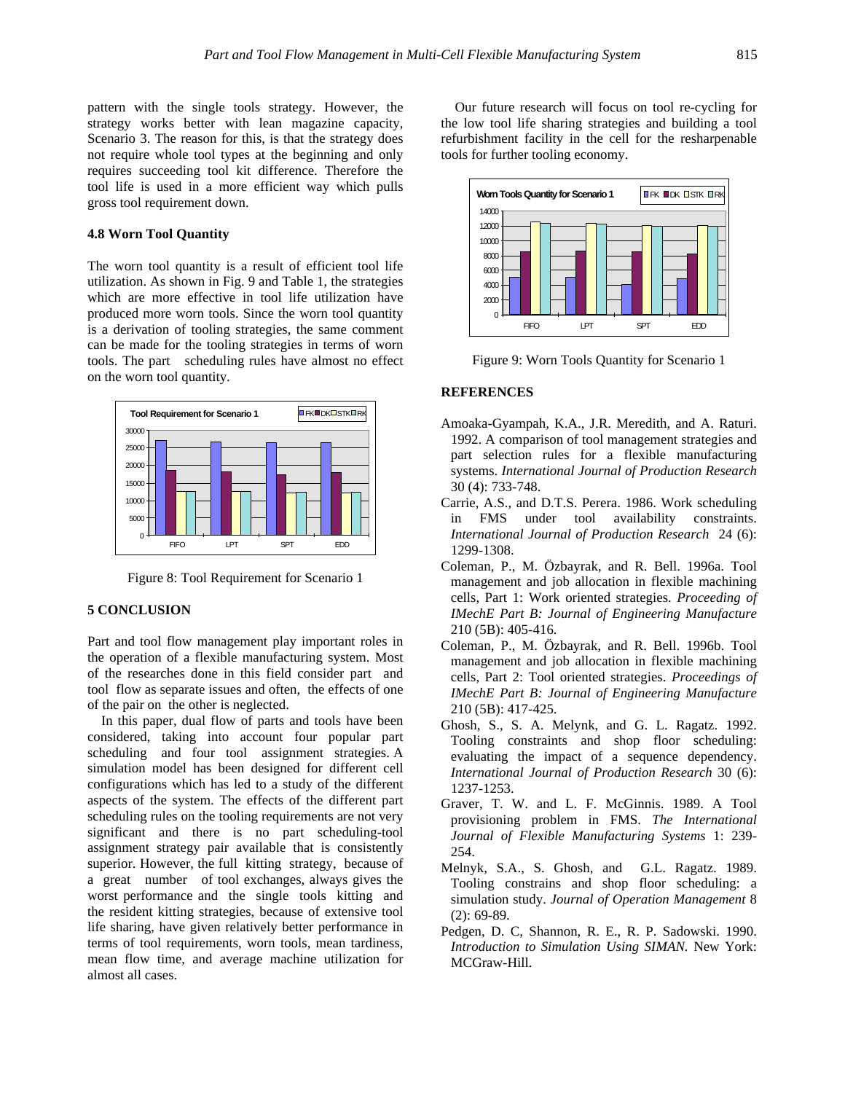pattern with the single tools strategy. However, the strategy works better with lean magazine capacity, Scenario 3. The reason for this, is that the strategy does not require whole tool types at the beginning and only requires succeeding tool kit difference. Therefore the tool life is used in a more efficient way which pulls gross tool requirement down.

### **4.8 Worn Tool Quantity**

The worn tool quantity is a result of efficient tool life utilization. As shown in Fig. 9 and Table 1, the strategies which are more effective in tool life utilization have produced more worn tools. Since the worn tool quantity is a derivation of tooling strategies, the same comment can be made for the tooling strategies in terms of worn tools. The part scheduling rules have almost no effect on the worn tool quantity.



Figure 8: Tool Requirement for Scenario 1

## **5 CONCLUSION**

Part and tool flow management play important roles in the operation of a flexible manufacturing system. Most of the researches done in this field consider part and tool flow as separate issues and often, the effects of one of the pair on the other is neglected.

 In this paper, dual flow of parts and tools have been considered, taking into account four popular part scheduling and four tool assignment strategies. A simulation model has been designed for different cell configurations which has led to a study of the different aspects of the system. The effects of the different part scheduling rules on the tooling requirements are not very significant and there is no part scheduling-tool assignment strategy pair available that is consistently superior. However, the full kitting strategy, because of a great number of tool exchanges, always gives the worst performance and the single tools kitting and the resident kitting strategies, because of extensive tool life sharing, have given relatively better performance in terms of tool requirements, worn tools, mean tardiness, mean flow time, and average machine utilization for almost all cases.

 Our future research will focus on tool re-cycling for the low tool life sharing strategies and building a tool refurbishment facility in the cell for the resharpenable tools for further tooling economy.



Figure 9: Worn Tools Quantity for Scenario 1

#### **REFERENCES**

- Amoaka-Gyampah, K.A., J.R. Meredith, and A. Raturi. 1992. A comparison of tool management strategies and part selection rules for a flexible manufacturing systems. *International Journal of Production Research* 30 (4): 733-748.
- Carrie, A.S., and D.T.S. Perera. 1986. Work scheduling in FMS under tool availability constraints. *International Journal of Production Research* 24 (6): 1299-1308.
- Coleman, P., M. Özbayrak, and R. Bell. 1996a. Tool management and job allocation in flexible machining cells, Part 1: Work oriented strategies. *Proceeding of IMechE Part B: Journal of Engineering Manufacture* 210 (5B): 405-416.
- Coleman, P., M. Özbayrak, and R. Bell. 1996b. Tool management and job allocation in flexible machining cells, Part 2: Tool oriented strategies. *Proceedings of IMechE Part B: Journal of Engineering Manufacture* 210 (5B): 417-425.
- Ghosh, S., S. A. Melynk, and G. L. Ragatz. 1992. Tooling constraints and shop floor scheduling: evaluating the impact of a sequence dependency. *International Journal of Production Research* 30 (6): 1237-1253.
- Graver, T. W. and L. F. McGinnis. 1989. A Tool provisioning problem in FMS. *The International Journal of Flexible Manufacturing Systems* 1: 239- 254.
- Melnyk, S.A., S. Ghosh, and G.L. Ragatz. 1989. Tooling constrains and shop floor scheduling: a simulation study. *Journal of Operation Management* 8 (2): 69-89.
- Pedgen, D. C, Shannon, R. E., R. P. Sadowski. 1990. *Introduction to Simulation Using SIMAN.* New York: MCGraw-Hill.